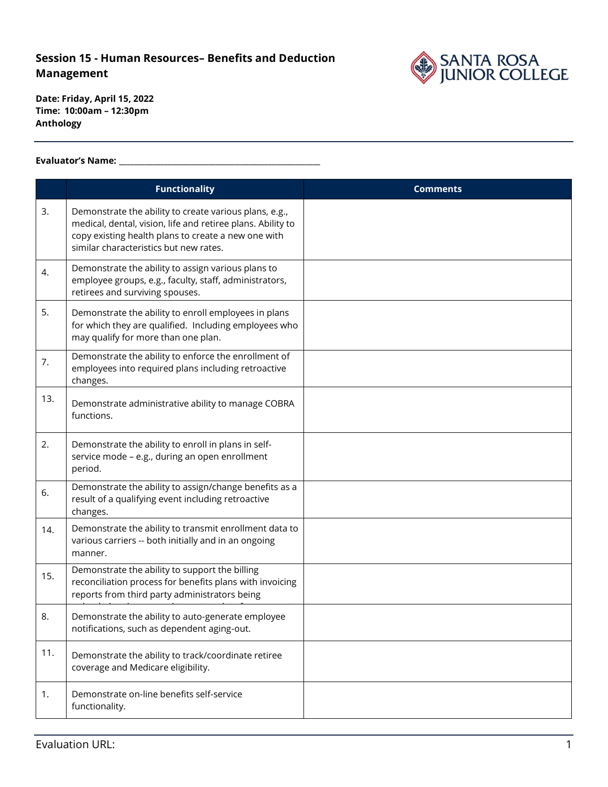### **Session 15 - Human Resources– Benefits and Deduction Management**



**Date: Friday, April 15, 2022 Time: 10:00am – 12:30pm Anthology**

#### **Evaluator's Name: \_\_\_\_\_\_\_\_\_\_\_\_\_\_\_\_\_\_\_\_\_\_\_\_\_\_\_\_\_\_\_\_\_\_\_\_\_\_\_\_\_\_\_\_\_\_\_\_\_\_\_\_\_\_**

|     | <b>Functionality</b>                                                                                                                                                                                                   | <b>Comments</b> |
|-----|------------------------------------------------------------------------------------------------------------------------------------------------------------------------------------------------------------------------|-----------------|
| 3.  | Demonstrate the ability to create various plans, e.g.,<br>medical, dental, vision, life and retiree plans. Ability to<br>copy existing health plans to create a new one with<br>similar characteristics but new rates. |                 |
| 4.  | Demonstrate the ability to assign various plans to<br>employee groups, e.g., faculty, staff, administrators,<br>retirees and surviving spouses.                                                                        |                 |
| 5.  | Demonstrate the ability to enroll employees in plans<br>for which they are qualified. Including employees who<br>may qualify for more than one plan.                                                                   |                 |
| 7.  | Demonstrate the ability to enforce the enrollment of<br>employees into required plans including retroactive<br>changes.                                                                                                |                 |
| 13. | Demonstrate administrative ability to manage COBRA<br>functions.                                                                                                                                                       |                 |
| 2.  | Demonstrate the ability to enroll in plans in self-<br>service mode - e.g., during an open enrollment<br>period.                                                                                                       |                 |
| 6.  | Demonstrate the ability to assign/change benefits as a<br>result of a qualifying event including retroactive<br>changes.                                                                                               |                 |
| 14. | Demonstrate the ability to transmit enrollment data to<br>various carriers -- both initially and in an ongoing<br>manner.                                                                                              |                 |
| 15. | Demonstrate the ability to support the billing<br>reconciliation process for benefits plans with invoicing<br>reports from third party administrators being                                                            |                 |
| 8.  | Demonstrate the ability to auto-generate employee<br>notifications, such as dependent aging-out.                                                                                                                       |                 |
| 11. | Demonstrate the ability to track/coordinate retiree<br>coverage and Medicare eligibility.                                                                                                                              |                 |
| 1.  | Demonstrate on-line benefits self-service<br>functionality.                                                                                                                                                            |                 |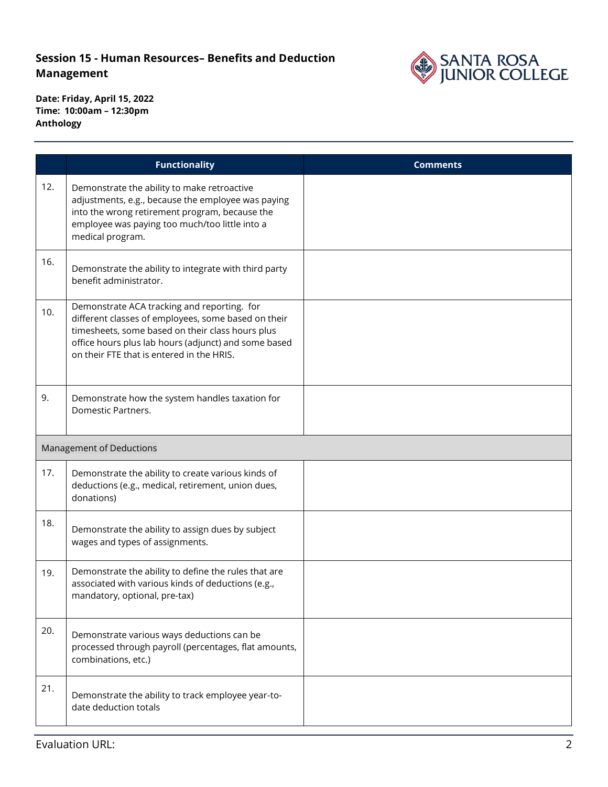# **Session 15 - Human Resources– Benefits and Deduction Management**



**Date: Friday, April 15, 2022 Time: 10:00am – 12:30pm Anthology**

|     | <b>Functionality</b>                                                                                                                                                                                                                                        | <b>Comments</b> |  |  |
|-----|-------------------------------------------------------------------------------------------------------------------------------------------------------------------------------------------------------------------------------------------------------------|-----------------|--|--|
| 12. | Demonstrate the ability to make retroactive<br>adjustments, e.g., because the employee was paying<br>into the wrong retirement program, because the<br>employee was paying too much/too little into a<br>medical program.                                   |                 |  |  |
| 16. | Demonstrate the ability to integrate with third party<br>benefit administrator.                                                                                                                                                                             |                 |  |  |
| 10. | Demonstrate ACA tracking and reporting. for<br>different classes of employees, some based on their<br>timesheets, some based on their class hours plus<br>office hours plus lab hours (adjunct) and some based<br>on their FTE that is entered in the HRIS. |                 |  |  |
| 9.  | Demonstrate how the system handles taxation for<br>Domestic Partners.                                                                                                                                                                                       |                 |  |  |
|     | Management of Deductions                                                                                                                                                                                                                                    |                 |  |  |
| 17. | Demonstrate the ability to create various kinds of<br>deductions (e.g., medical, retirement, union dues,<br>donations)                                                                                                                                      |                 |  |  |
| 18. | Demonstrate the ability to assign dues by subject<br>wages and types of assignments.                                                                                                                                                                        |                 |  |  |
| 19. | Demonstrate the ability to define the rules that are<br>associated with various kinds of deductions (e.g.,<br>mandatory, optional, pre-tax)                                                                                                                 |                 |  |  |
| 20. | Demonstrate various ways deductions can be<br>processed through payroll (percentages, flat amounts,<br>combinations, etc.)                                                                                                                                  |                 |  |  |
| 21. | Demonstrate the ability to track employee year-to-<br>date deduction totals                                                                                                                                                                                 |                 |  |  |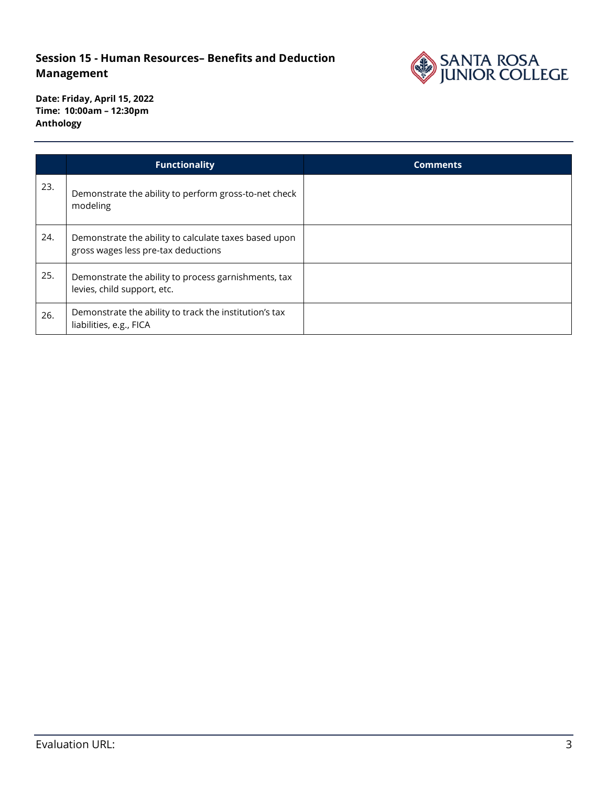## **Session 15 - Human Resources– Benefits and Deduction Management**



**Date: Friday, April 15, 2022 Time: 10:00am – 12:30pm Anthology**

|     | <b>Functionality</b>                                                                         | <b>Comments</b> |
|-----|----------------------------------------------------------------------------------------------|-----------------|
| 23. | Demonstrate the ability to perform gross-to-net check<br>modeling                            |                 |
| 24. | Demonstrate the ability to calculate taxes based upon<br>gross wages less pre-tax deductions |                 |
| 25. | Demonstrate the ability to process garnishments, tax<br>levies, child support, etc.          |                 |
| 26. | Demonstrate the ability to track the institution's tax<br>liabilities, e.g., FICA            |                 |